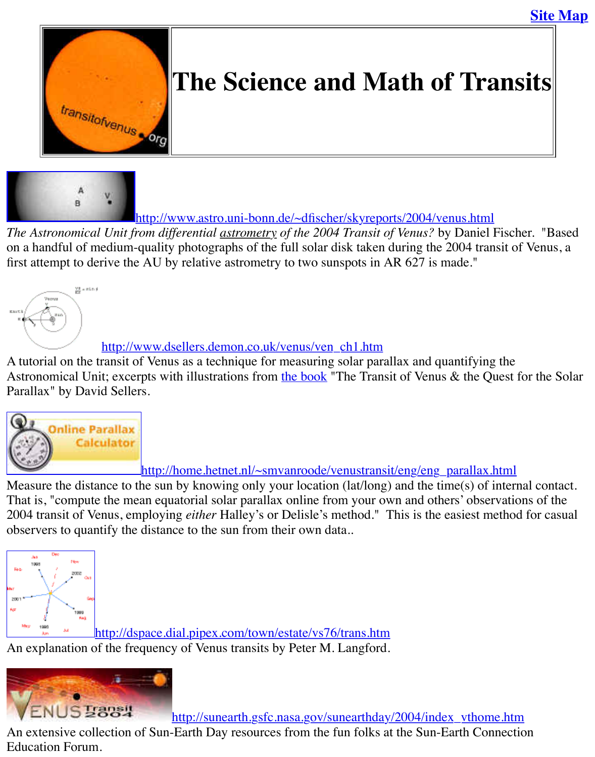



http://www.astro.uni-bonn.de/~dfischer/skyreports/2004/venus.html

*The As[tronomical Unit from di](http://old.transitofvenus.org/index.htm)fferential astrometry of the 2004 Transit of Venus?* by Daniel Fis on a handful of medium-quality photographs of the full solar disk taken during the 2004 transit first attempt to derive the AU by relative astrometry to two sunspots in AR 627 is made."



# http://www.dsellers.demon.co.uk/venus/ven\_ch1.htm

A tutorial on the transit of Venus as a technique for measuring solar parallax and quantifying the Astronomical Unit; excerpts with illustrations from the book "The Transit of Venus & the Que [Parallax" by David Sellers.](http://www.dsellers.demon.co.uk/venus/ven_ch1.htm)



http://home.hetnet.nl/~smvanroode/venustransit/eng/eng\_parallax.html Measure the distance to the sun by knowing only y[our locatio](http://www.amazon.co.uk/exec/obidos/ASIN/0954101308/ref=ase_davesmiscella-21/202-5164481-7718239)n (lat/long) and the time(s) of internal contact. That is, "compute the mean equatorial solar parallax online from your own and others' observations. 2004 transit of Venus, employing *either* Halley's or Delisle's method." This is the easiest meth [observers to quantify the distance to the sun from their own data..](http://home.hetnet.nl/~smvanroode/venustransit/eng/eng_parallax.html)



http://dspace.dial.pipex.com/town/estate/vs76/trans.htm An explanation of the frequency of Venus transits by Peter M. Langford.



http://sunearth.gsfc.nasa.gov/sunearthday/2004/index\_vthome.

[An extensive collection of Sun-Earth Day resources from the fun folks at](http://dspace.dial.pipex.com/town/estate/vs76/trans.htm) the Sun-Earth Conne Education Forum.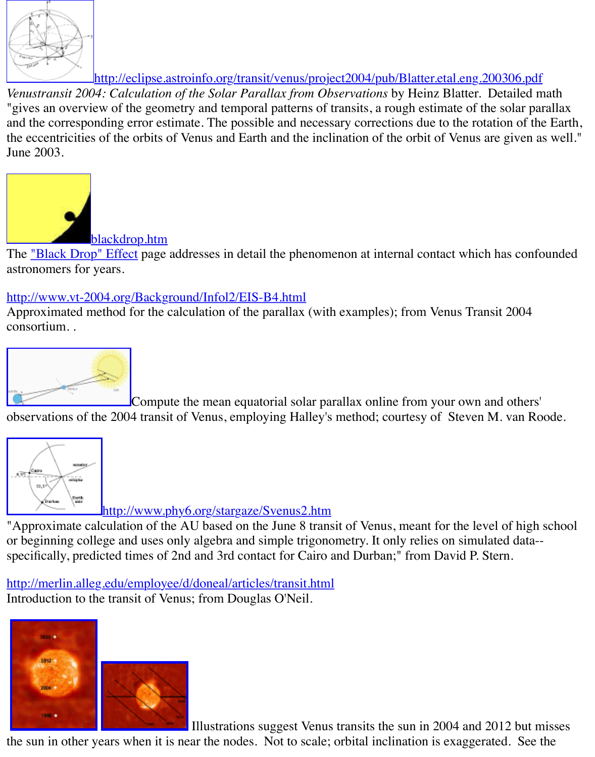"gives an overview of the geometry and temporal patterns of transits, a rough estimate of the s and the corresponding error estimate. The possible and necessary corrections due to the rotation the eccentricities of the orbits of Venus and Earth and the inclination of the orbit of Venus are g June 2003.



The <u>"Black Drop" Effect</u> page addresses in detail the phenomenon at internal contact which has astronomers for years.

### [http://www.vt-2004.org/Backg](http://old.transitofvenus.org/blackdrop.htm)round/Infol2/EIS-B4.html

Approximated method for the calculation of the parallax (with examples); from Venus Transit consortium. .



[Compute the mean equatorial sola](http://www.vt-2004.org/Background/Infol2/EIS-B4.html)r parallax online from your own and observations of the 2004 transit of Venus, employing Halley's method; courtesy of Steven M.



[http://](http://home.hetnet.nl/~smvanroode/venustransit/eng/eng_parallax.html)www.phy6.org/stargaze/Svenus2.htm

"Approximate calculation of the AU based on the June 8 transit of Venus, meant for the level of or beginning college and uses only algebra and simple trigonometry. It only relies on simulated [specifically, predicted times of 2nd and 3rd contact for Cairo a](http://www.phy6.org/stargaze/Svenus2.htm)nd Durban;" from David P. Stern.

http://merlin.alleg.edu/employee/d/doneal/articles/transit.html Introduction to the transit of Venus; from Douglas O'Neil.



Illustrations suggest Venus transits the sun in 2004 and 201

[the sun in other y](http://old.transitofvenus.org/sun_dates.jpg)ears when it is near the nodes. Not to scale; orbital inclination is exaggerated.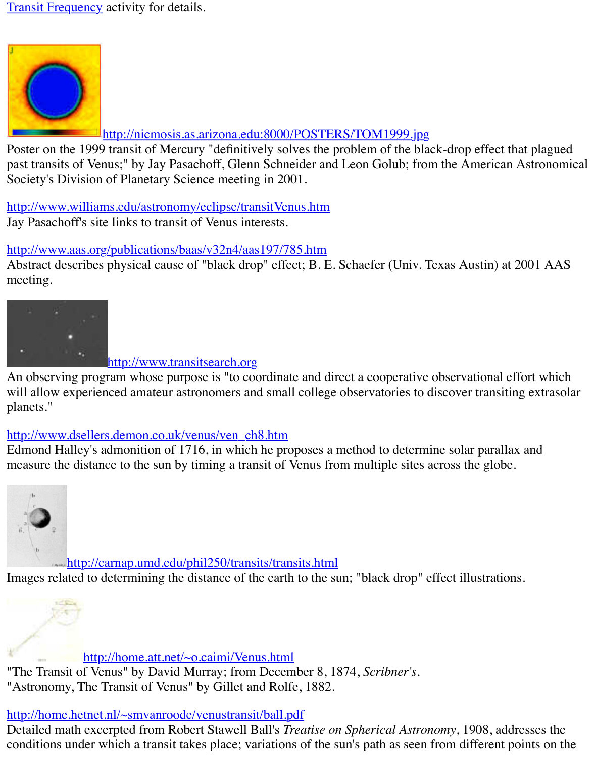

#### http://nicmosis.as.arizona.edu:8000/POSTERS/TOM1999.jpg

Poster on the 1999 transit of Mercury "definitively solves the problem of the black-drop effect [past transits of Venus;" by Jay Pasachoff, Glenn Schneider and Leon Golub; from](http://nicmosis.as.arizona.edu:8000/POSTERS/TOM1999.jpg) the America Society's Division of Planetary Science meeting in 2001.

http://www.williams.edu/astronomy/eclipse/transitVenus.htm Jay Pasachoff's site links to transit of Venus interests.

### http://www.aas.org/publications/baas/v32n4/aas197/785.htm

Abstract describes physical cause of "black drop" effect; B. E. Schaefer (Univ. Texas Austin) at 2001 Abstract meeting.



#### [http://www.transitsearch.org](http://www.aas.org/publications/baas/v32n4/aas197/785.htm)

An observing program whose purpose is "to coordinate and direct a cooperative observational will allow experienced amateur astronomers and small college observatories to discover transi planets."

## http://www.dsellers.demon.co.uk/venus/ven\_ch8.htm

Edmond Halley's admonition of 1716, in which he proposes a method to determine solar parallax measure the distan[ce to the sun by timing a tran](http://www.transitsearch.org/)sit of Venus from multiple sites across the glob



http://carnap.umd.edu/phil250/transits/transits.html Images related to determining the distance of the earth to the sun; "black drop" effect illustration

[http://home.att.net/~o.caimi/Venus.html](http://carnap.umd.edu/phil250/transits/transits.html)

"The Transit of Venus" by David Murray; from December 8, 1874, *Scribner's*. "Astronomy, The Transit of Venus" by Gillet and Rolfe, 1882.

## [http://home.hetnet.nl/~smvanroode/venustransit/ball.pd](http://home.att.net/~o.caimi/Venus.html)f

Detailed math excerpted from Robert Stawell Ball's *Treatise on Spherical Astronomy*, 1908, addresses the Spherical Astronomy, 1908, addressed to the Spherical Astronomy, 1908, addressed to the Spherical Astronomy, 1908, a conditions under which a transit takes place; variations of the sun's path as seen from different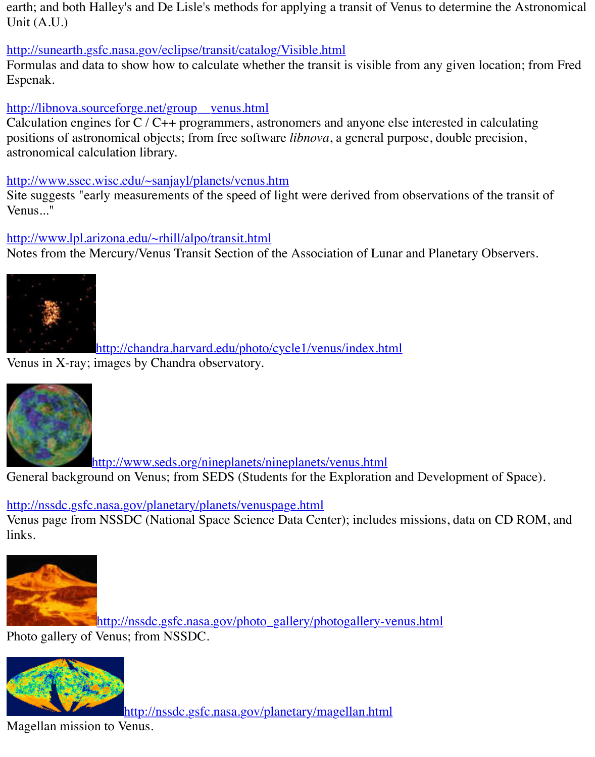#### http://libnova.sourceforge.net/group\_venus.html

Calculation engines for  $C / C$ ++ programmers, astronomers and anyone else interested in calculation positions of astronomical objects; from free software *libnova*, a general purpose, double precis [astronomical calculation library.](http://sunearth.gsfc.nasa.gov/eclipse/transit/catalog/Visible.html)

#### http://www.ssec.wisc.edu/~sanjayl/planets/venus.htm

Site suggests "early measurements of the speed of light were derived from observations of the [Venus..."](http://libnova.sourceforge.net/group__venus.html)

## http://www.lpl.arizona.edu/~rhill/alpo/transit.html

Notes from the Mercury/Venus Transit Section of the Association of Lunar and Planetary Observers.



[http://chandra.harvard.edu/photo/](http://www.lpl.arizona.edu/~rhill/alpo/transit.html)cycle1/venus/index.html Venus in X-ray; images by Chandra observatory.



[http://www.seds.org/nineplanets/nineplanets/venus.html](http://chandra.harvard.edu/photo/cycle1/venus/index.html)

General background on Venus; from SEDS (Students for the Exploration and Development of

http://nssdc.gsfc.nasa.gov/planetary/planets/venuspage.html

[Venus page from NSSDC \(National Space Science Data Center\); include](http://www.seds.org/nineplanets/nineplanets/venus.html)s missions, data on C links.



http://nssdc.gsfc.nasa.gov/photo\_gallery/photogallery-venus.html Photo gallery of Venus; from NSSDC.



[http://nssdc.gsfc.nasa.gov/planetary/magellan.html](http://nssdc.gsfc.nasa.gov/photo_gallery/photogallery-venus.html)

Magellan mission to Venus.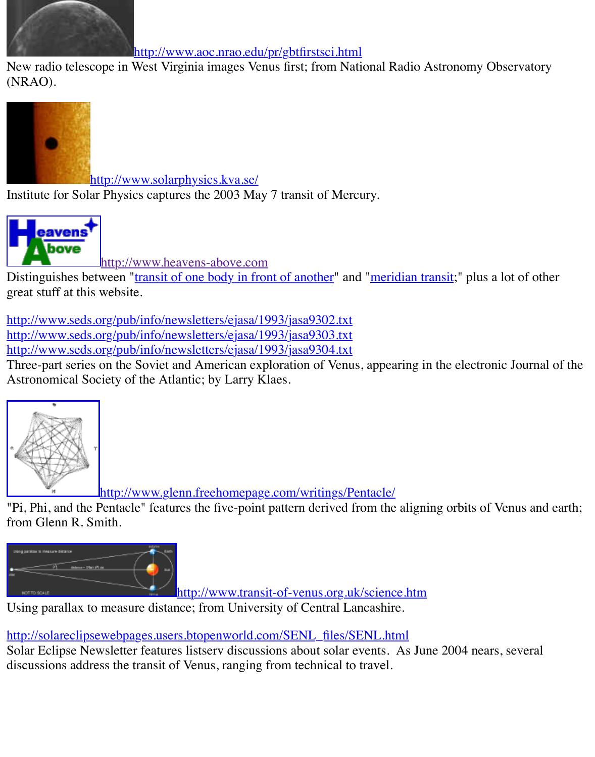

http://www.solarphysics.kva.se/

Institute for Solar Physics captures the 2003 May 7 transit of Mercury.



http://www.heavens-above.com

[Distinguishes between "transit of one body in fr](http://www.solarphysics.kva.se/)ont of another" and "meridian transit;" plus a lot great stuff at this website.

http://www.seds.org/pub/info/newsletters/ejasa/1993/jasa9302.txt [http://www.seds.o](http://http//www.heavens-above.com)rg/pub/info/newsletters/ejasa/1993/jasa9303.txt http://www.seds.org/pub/info/newsletters/ejasa/1993/jasa9304.txt

Three-part series [on the Soviet and American exp](http://www.heavens-above.com/)loration of Venus, appearing in the electronic Astronomical Society o[f the Atlantic; by Larry Klaes.](http://www.heavens-above.com/gloss.asp?lat=41.753&lng=-86.111&alt=0&loc=Granger&TZ=Indiana&term=transit) 



http://www.glenn.freehomepage.com/writings/Pentacle/

["Pi, Phi, and the Pentacle" features the five-point pattern derived from the](http://www.glenn.freehomepage.com/writings/Pentacle/) aligning orbits of Ve from Glenn R. Smith.



http://www.transit-of-venus.org.uk/science.htm

Using parallax to measure distance; from University of Central Lancashire.

http://solareclipsewebpages.users.btopenworld.com/SENL\_files/SENL.html Solar Eclipse Newsletter features listserv discussions about solar events. As June 2004 nears, [discussions address the transit of Venus, ranging from technical to travel.](http://www.transit-of-venus.org.uk/science.htm)